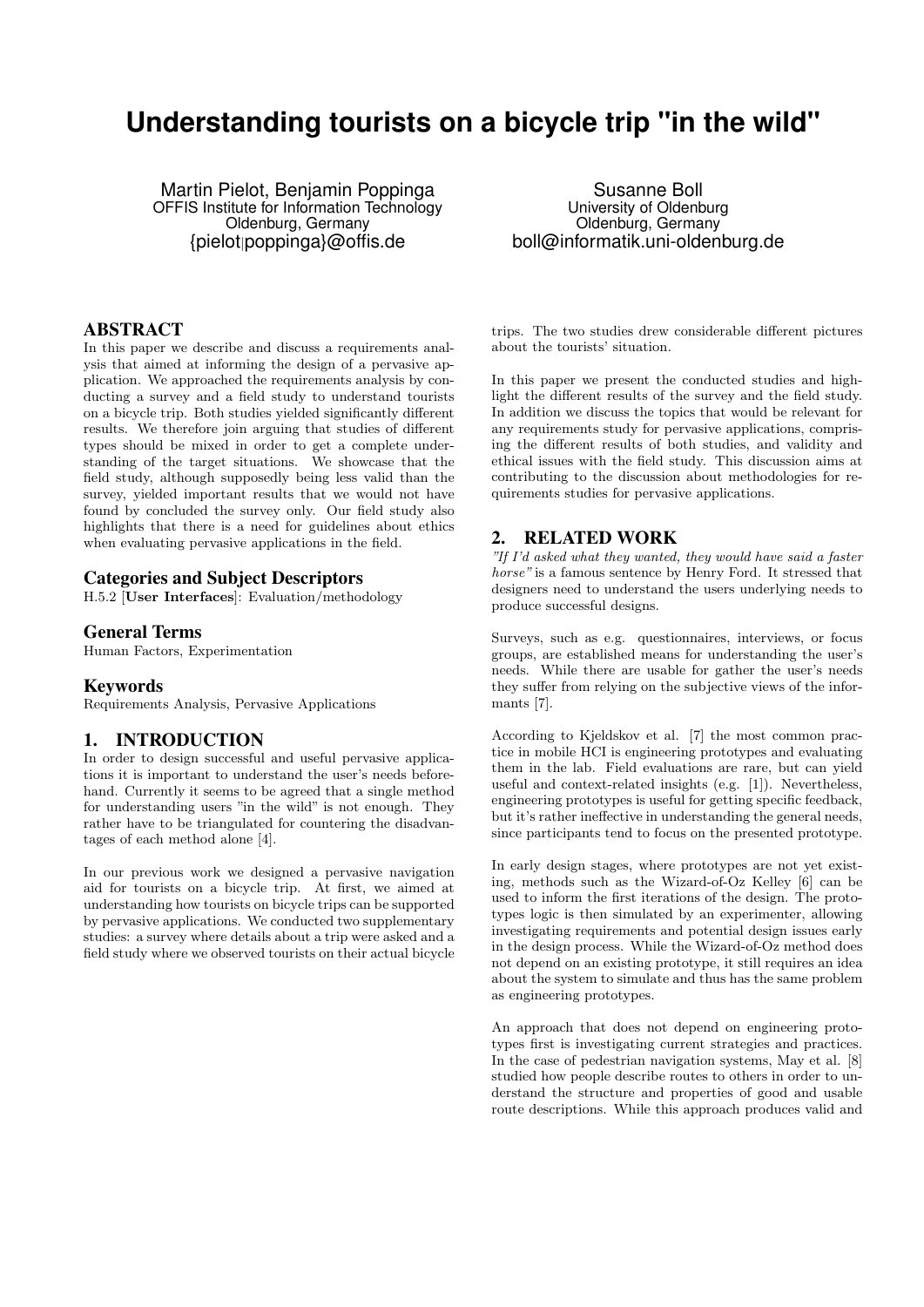# **Understanding tourists on a bicycle trip "in the wild"**

Martin Pielot, Benjamin Poppinga OFFIS Institute for Information Technology Oldenburg, Germany {pielot|poppinga}@offis.de

### ABSTRACT

In this paper we describe and discuss a requirements analysis that aimed at informing the design of a pervasive application. We approached the requirements analysis by conducting a survey and a field study to understand tourists on a bicycle trip. Both studies yielded significantly different results. We therefore join arguing that studies of different types should be mixed in order to get a complete understanding of the target situations. We showcase that the field study, although supposedly being less valid than the survey, yielded important results that we would not have found by concluded the survey only. Our field study also highlights that there is a need for guidelines about ethics when evaluating pervasive applications in the field.

#### Categories and Subject Descriptors

H.5.2 [User Interfaces]: Evaluation/methodology

#### General Terms

Human Factors, Experimentation

#### Keywords

Requirements Analysis, Pervasive Applications

### 1. INTRODUCTION

In order to design successful and useful pervasive applications it is important to understand the user's needs beforehand. Currently it seems to be agreed that a single method for understanding users "in the wild" is not enough. They rather have to be triangulated for countering the disadvantages of each method alone [4].

In our previous work we designed a pervasive navigation aid for tourists on a bicycle trip. At first, we aimed at understanding how tourists on bicycle trips can be supported by pervasive applications. We conducted two supplementary studies: a survey where details about a trip were asked and a field study where we observed tourists on their actual bicycle

Susanne Boll University of Oldenburg Oldenburg, Germany boll@informatik.uni-oldenburg.de

trips. The two studies drew considerable different pictures about the tourists' situation.

In this paper we present the conducted studies and highlight the different results of the survey and the field study. In addition we discuss the topics that would be relevant for any requirements study for pervasive applications, comprising the different results of both studies, and validity and ethical issues with the field study. This discussion aims at contributing to the discussion about methodologies for requirements studies for pervasive applications.

### 2. RELATED WORK

"If I'd asked what they wanted, they would have said a faster horse" is a famous sentence by Henry Ford. It stressed that designers need to understand the users underlying needs to produce successful designs.

Surveys, such as e.g. questionnaires, interviews, or focus groups, are established means for understanding the user's needs. While there are usable for gather the user's needs they suffer from relying on the subjective views of the informants [7].

According to Kjeldskov et al. [7] the most common practice in mobile HCI is engineering prototypes and evaluating them in the lab. Field evaluations are rare, but can yield useful and context-related insights (e.g. [1]). Nevertheless, engineering prototypes is useful for getting specific feedback, but it's rather ineffective in understanding the general needs, since participants tend to focus on the presented prototype.

In early design stages, where prototypes are not yet existing, methods such as the Wizard-of-Oz Kelley [6] can be used to inform the first iterations of the design. The prototypes logic is then simulated by an experimenter, allowing investigating requirements and potential design issues early in the design process. While the Wizard-of-Oz method does not depend on an existing prototype, it still requires an idea about the system to simulate and thus has the same problem as engineering prototypes.

An approach that does not depend on engineering prototypes first is investigating current strategies and practices. In the case of pedestrian navigation systems, May et al. [8] studied how people describe routes to others in order to understand the structure and properties of good and usable route descriptions. While this approach produces valid and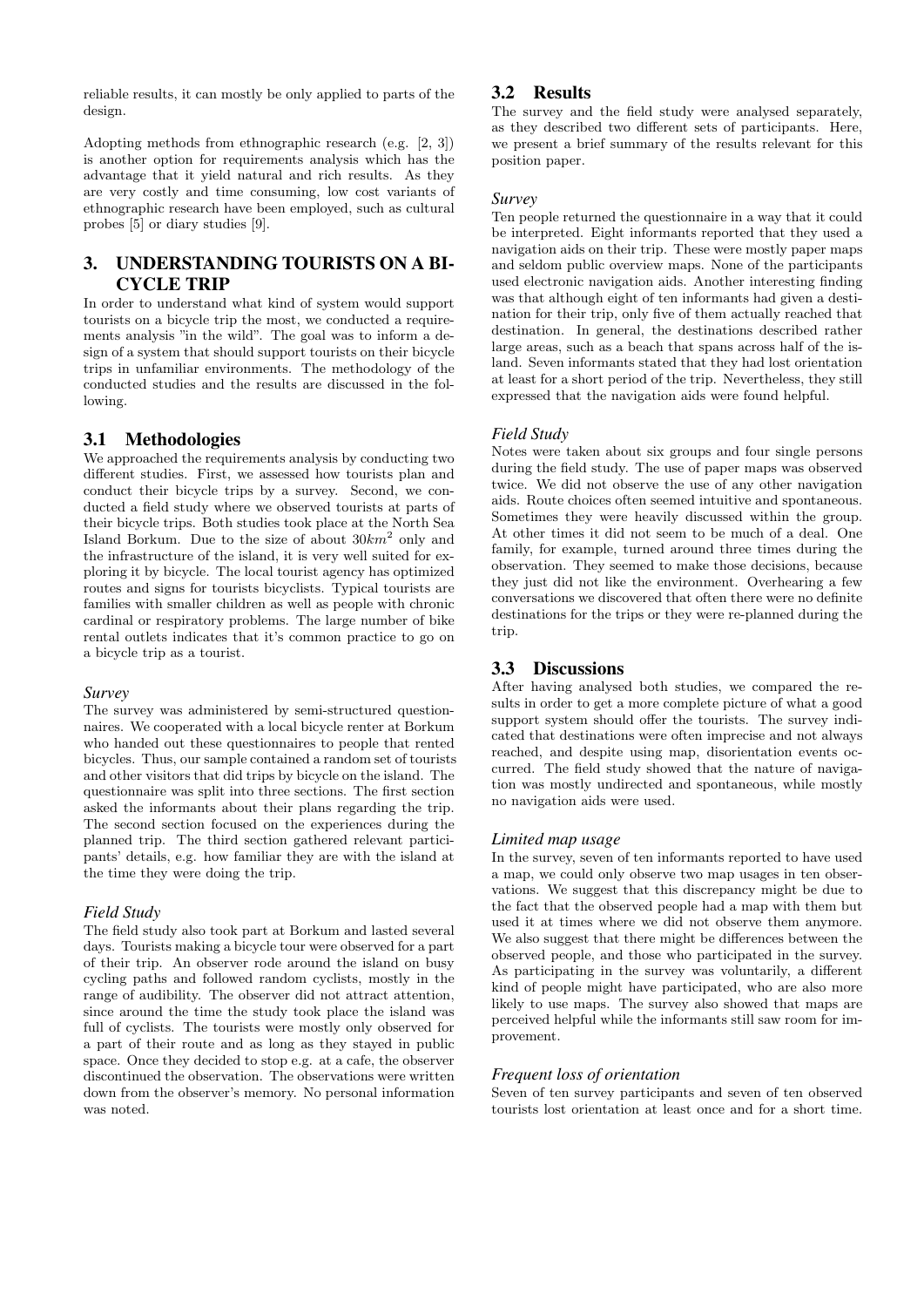reliable results, it can mostly be only applied to parts of the design.

Adopting methods from ethnographic research (e.g. [2, 3]) is another option for requirements analysis which has the advantage that it yield natural and rich results. As they are very costly and time consuming, low cost variants of ethnographic research have been employed, such as cultural probes [5] or diary studies [9].

# 3. UNDERSTANDING TOURISTS ON A BI-CYCLE TRIP

In order to understand what kind of system would support tourists on a bicycle trip the most, we conducted a requirements analysis "in the wild". The goal was to inform a design of a system that should support tourists on their bicycle trips in unfamiliar environments. The methodology of the conducted studies and the results are discussed in the following.

# 3.1 Methodologies

We approached the requirements analysis by conducting two different studies. First, we assessed how tourists plan and conduct their bicycle trips by a survey. Second, we conducted a field study where we observed tourists at parts of their bicycle trips. Both studies took place at the North Sea Island Borkum. Due to the size of about  $30km^2$  only and the infrastructure of the island, it is very well suited for exploring it by bicycle. The local tourist agency has optimized routes and signs for tourists bicyclists. Typical tourists are families with smaller children as well as people with chronic cardinal or respiratory problems. The large number of bike rental outlets indicates that it's common practice to go on a bicycle trip as a tourist.

### *Survey*

The survey was administered by semi-structured questionnaires. We cooperated with a local bicycle renter at Borkum who handed out these questionnaires to people that rented bicycles. Thus, our sample contained a random set of tourists and other visitors that did trips by bicycle on the island. The questionnaire was split into three sections. The first section asked the informants about their plans regarding the trip. The second section focused on the experiences during the planned trip. The third section gathered relevant participants' details, e.g. how familiar they are with the island at the time they were doing the trip.

### *Field Study*

The field study also took part at Borkum and lasted several days. Tourists making a bicycle tour were observed for a part of their trip. An observer rode around the island on busy cycling paths and followed random cyclists, mostly in the range of audibility. The observer did not attract attention, since around the time the study took place the island was full of cyclists. The tourists were mostly only observed for a part of their route and as long as they stayed in public space. Once they decided to stop e.g. at a cafe, the observer discontinued the observation. The observations were written down from the observer's memory. No personal information was noted.

# 3.2 Results

The survey and the field study were analysed separately, as they described two different sets of participants. Here, we present a brief summary of the results relevant for this position paper.

### *Survey*

Ten people returned the questionnaire in a way that it could be interpreted. Eight informants reported that they used a navigation aids on their trip. These were mostly paper maps and seldom public overview maps. None of the participants used electronic navigation aids. Another interesting finding was that although eight of ten informants had given a destination for their trip, only five of them actually reached that destination. In general, the destinations described rather large areas, such as a beach that spans across half of the island. Seven informants stated that they had lost orientation at least for a short period of the trip. Nevertheless, they still expressed that the navigation aids were found helpful.

# *Field Study*

Notes were taken about six groups and four single persons during the field study. The use of paper maps was observed twice. We did not observe the use of any other navigation aids. Route choices often seemed intuitive and spontaneous. Sometimes they were heavily discussed within the group. At other times it did not seem to be much of a deal. One family, for example, turned around three times during the observation. They seemed to make those decisions, because they just did not like the environment. Overhearing a few conversations we discovered that often there were no definite destinations for the trips or they were re-planned during the trip.

# 3.3 Discussions

After having analysed both studies, we compared the results in order to get a more complete picture of what a good support system should offer the tourists. The survey indicated that destinations were often imprecise and not always reached, and despite using map, disorientation events occurred. The field study showed that the nature of navigation was mostly undirected and spontaneous, while mostly no navigation aids were used.

### *Limited map usage*

In the survey, seven of ten informants reported to have used a map, we could only observe two map usages in ten observations. We suggest that this discrepancy might be due to the fact that the observed people had a map with them but used it at times where we did not observe them anymore. We also suggest that there might be differences between the observed people, and those who participated in the survey. As participating in the survey was voluntarily, a different kind of people might have participated, who are also more likely to use maps. The survey also showed that maps are perceived helpful while the informants still saw room for improvement.

# *Frequent loss of orientation*

Seven of ten survey participants and seven of ten observed tourists lost orientation at least once and for a short time.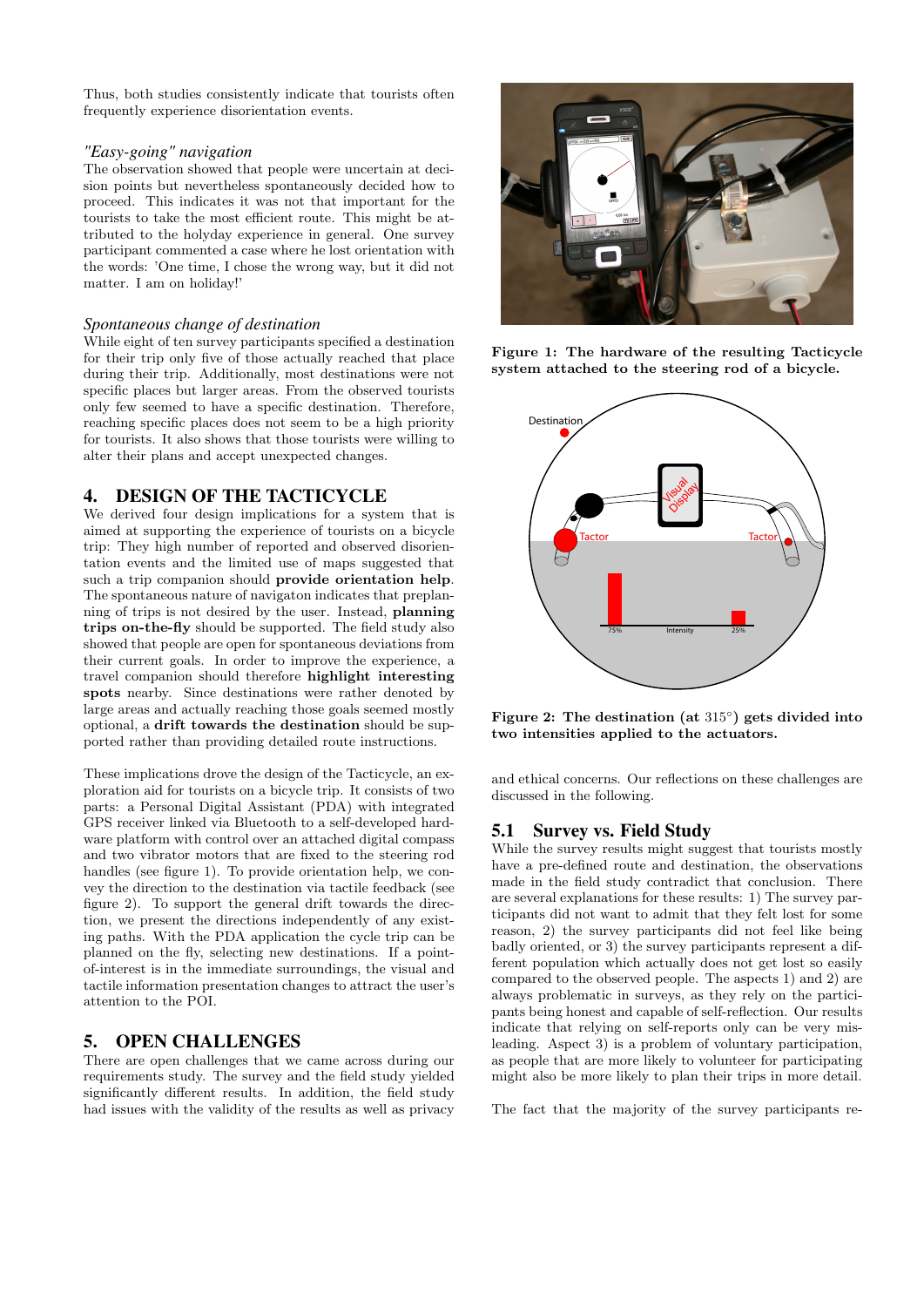Thus, both studies consistently indicate that tourists often frequently experience disorientation events.

#### *"Easy-going" navigation*

The observation showed that people were uncertain at decision points but nevertheless spontaneously decided how to proceed. This indicates it was not that important for the tourists to take the most efficient route. This might be attributed to the holyday experience in general. One survey participant commented a case where he lost orientation with the words: 'One time, I chose the wrong way, but it did not matter. I am on holiday!'

### *Spontaneous change of destination*

While eight of ten survey participants specified a destination for their trip only five of those actually reached that place during their trip. Additionally, most destinations were not specific places but larger areas. From the observed tourists only few seemed to have a specific destination. Therefore, reaching specific places does not seem to be a high priority for tourists. It also shows that those tourists were willing to alter their plans and accept unexpected changes.

# 4. DESIGN OF THE TACTICYCLE

We derived four design implications for a system that is aimed at supporting the experience of tourists on a bicycle trip: They high number of reported and observed disorientation events and the limited use of maps suggested that such a trip companion should provide orientation help. The spontaneous nature of navigaton indicates that preplanning of trips is not desired by the user. Instead, planning trips on-the-fly should be supported. The field study also showed that people are open for spontaneous deviations from their current goals. In order to improve the experience, a travel companion should therefore highlight interesting spots nearby. Since destinations were rather denoted by large areas and actually reaching those goals seemed mostly optional, a drift towards the destination should be supported rather than providing detailed route instructions.

These implications drove the design of the Tacticycle, an exploration aid for tourists on a bicycle trip. It consists of two parts: a Personal Digital Assistant (PDA) with integrated GPS receiver linked via Bluetooth to a self-developed hardware platform with control over an attached digital compass and two vibrator motors that are fixed to the steering rod handles (see figure 1). To provide orientation help, we convey the direction to the destination via tactile feedback (see figure 2). To support the general drift towards the direction, we present the directions independently of any existing paths. With the PDA application the cycle trip can be planned on the fly, selecting new destinations. If a pointof-interest is in the immediate surroundings, the visual and tactile information presentation changes to attract the user's attention to the POI.

# 5. OPEN CHALLENGES

There are open challenges that we came across during our requirements study. The survey and the field study yielded significantly different results. In addition, the field study had issues with the validity of the results as well as privacy



Figure 1: The hardware of the resulting Tacticycle system attached to the steering rod of a bicycle.



Figure 2: The destination (at 315◦ ) gets divided into two intensities applied to the actuators.

and ethical concerns. Our reflections on these challenges are discussed in the following.

# 5.1 Survey vs. Field Study

While the survey results might suggest that tourists mostly have a pre-defined route and destination, the observations made in the field study contradict that conclusion. There are several explanations for these results: 1) The survey participants did not want to admit that they felt lost for some reason, 2) the survey participants did not feel like being badly oriented, or 3) the survey participants represent a different population which actually does not get lost so easily compared to the observed people. The aspects 1) and 2) are always problematic in surveys, as they rely on the participants being honest and capable of self-reflection. Our results indicate that relying on self-reports only can be very misleading. Aspect 3) is a problem of voluntary participation, as people that are more likely to volunteer for participating might also be more likely to plan their trips in more detail.

The fact that the majority of the survey participants re-